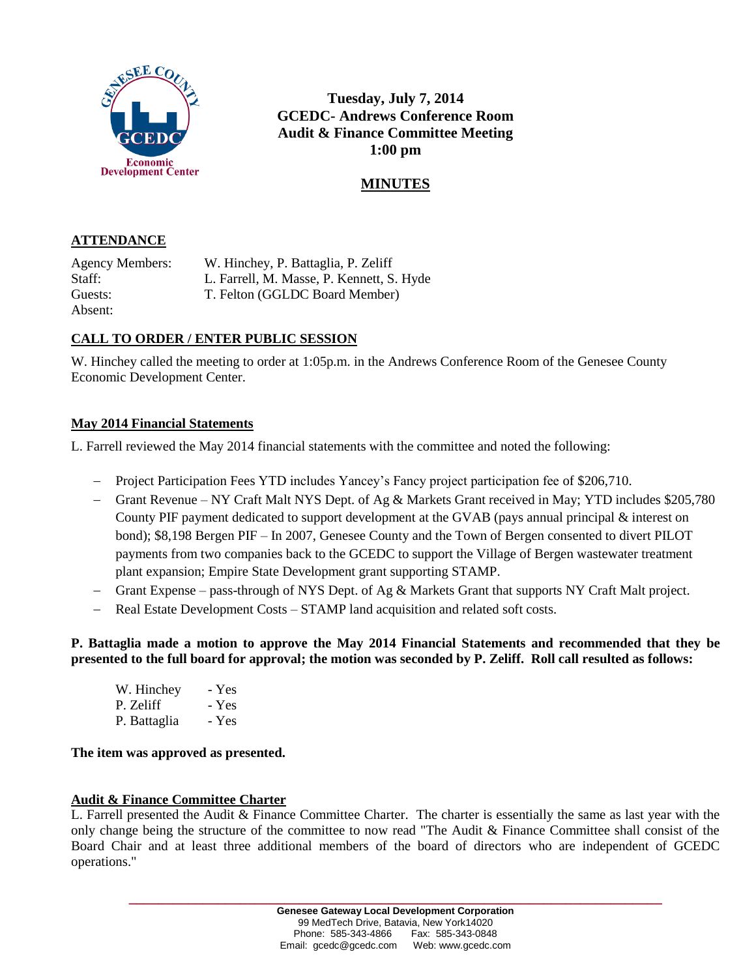

**Tuesday, July 7, 2014 GCEDC- Andrews Conference Room Audit & Finance Committee Meeting 1:00 pm**

# **MINUTES**

## **ATTENDANCE**

Agency Members: W. Hinchey, P. Battaglia, P. Zeliff Staff: L. Farrell, M. Masse, P. Kennett, S. Hyde Guests: T. Felton (GGLDC Board Member) Absent:

## **CALL TO ORDER / ENTER PUBLIC SESSION**

W. Hinchey called the meeting to order at 1:05p.m. in the Andrews Conference Room of the Genesee County Economic Development Center.

### **May 2014 Financial Statements**

L. Farrell reviewed the May 2014 financial statements with the committee and noted the following:

- Project Participation Fees YTD includes Yancey's Fancy project participation fee of \$206,710.
- Grant Revenue NY Craft Malt NYS Dept. of Ag & Markets Grant received in May; YTD includes \$205,780 County PIF payment dedicated to support development at the GVAB (pays annual principal & interest on bond); \$8,198 Bergen PIF – In 2007, Genesee County and the Town of Bergen consented to divert PILOT payments from two companies back to the GCEDC to support the Village of Bergen wastewater treatment plant expansion; Empire State Development grant supporting STAMP.
- Grant Expense pass-through of NYS Dept. of Ag & Markets Grant that supports NY Craft Malt project.
- Real Estate Development Costs STAMP land acquisition and related soft costs.

**P. Battaglia made a motion to approve the May 2014 Financial Statements and recommended that they be presented to the full board for approval; the motion was seconded by P. Zeliff. Roll call resulted as follows:**

| W. Hinchey   | - Yes |
|--------------|-------|
| P. Zeliff    | - Yes |
| P. Battaglia | - Yes |

**The item was approved as presented.**

### **Audit & Finance Committee Charter**

L. Farrell presented the Audit & Finance Committee Charter. The charter is essentially the same as last year with the only change being the structure of the committee to now read "The Audit & Finance Committee shall consist of the Board Chair and at least three additional members of the board of directors who are independent of GCEDC operations."

**\_\_\_\_\_\_\_\_\_\_\_\_\_\_\_\_\_\_\_\_\_\_\_\_\_\_\_\_\_\_\_\_\_\_\_\_\_\_\_\_\_\_\_\_\_\_\_\_\_\_\_\_\_\_\_\_\_\_\_\_\_\_\_\_\_\_\_\_\_\_\_\_**